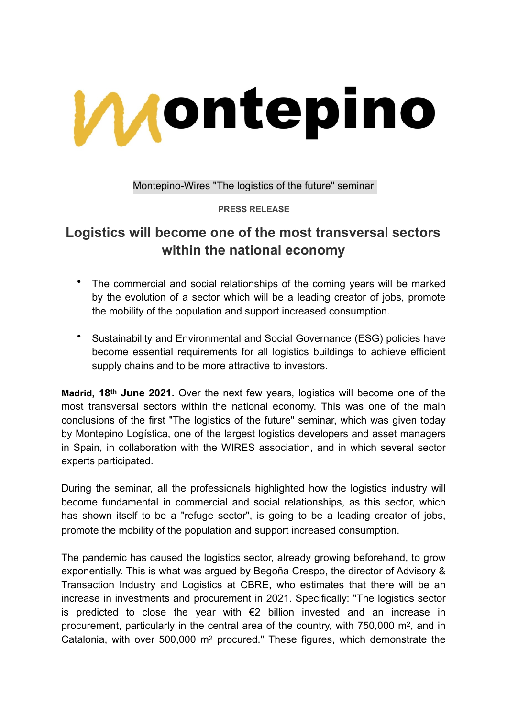

Montepino-Wires "The logistics of the future" seminar

**PRESS RELEASE**

# **Logistics will become one of the most transversal sectors within the national economy**

- The commercial and social relationships of the coming years will be marked by the evolution of a sector which will be a leading creator of jobs, promote the mobility of the population and support increased consumption.
- Sustainability and Environmental and Social Governance (ESG) policies have become essential requirements for all logistics buildings to achieve efficient supply chains and to be more attractive to investors.

**Madrid, 18th June 2021.** Over the next few years, logistics will become one of the most transversal sectors within the national economy. This was one of the main conclusions of the first "The logistics of the future" seminar, which was given today by Montepino Logística, one of the largest logistics developers and asset managers in Spain, in collaboration with the WIRES association, and in which several sector experts participated.

During the seminar, all the professionals highlighted how the logistics industry will become fundamental in commercial and social relationships, as this sector, which has shown itself to be a "refuge sector", is going to be a leading creator of jobs, promote the mobility of the population and support increased consumption.

The pandemic has caused the logistics sector, already growing beforehand, to grow exponentially. This is what was argued by Begoña Crespo, the director of Advisory & Transaction Industry and Logistics at CBRE, who estimates that there will be an increase in investments and procurement in 2021. Specifically: "The logistics sector is predicted to close the year with €2 billion invested and an increase in procurement, particularly in the central area of the country, with 750,000 m2, and in Catalonia, with over 500,000 m2 procured." These figures, which demonstrate the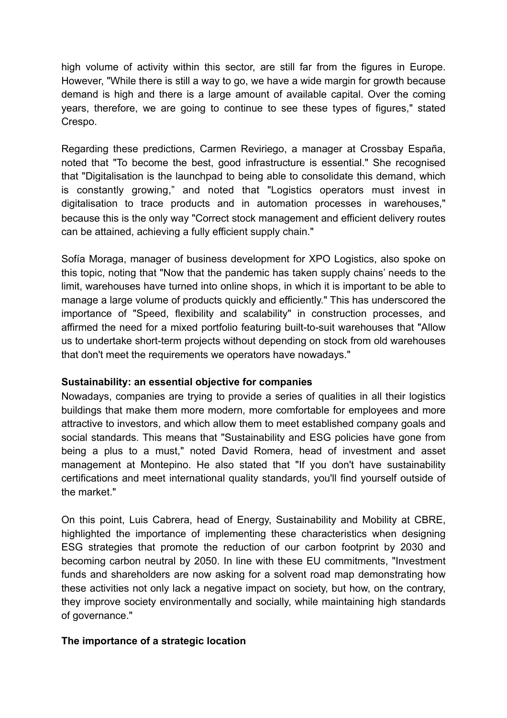high volume of activity within this sector, are still far from the figures in Europe. However, "While there is still a way to go, we have a wide margin for growth because demand is high and there is a large amount of available capital. Over the coming years, therefore, we are going to continue to see these types of figures," stated Crespo.

Regarding these predictions, Carmen Reviriego, a manager at Crossbay España, noted that "To become the best, good infrastructure is essential." She recognised that "Digitalisation is the launchpad to being able to consolidate this demand, which is constantly growing," and noted that "Logistics operators must invest in digitalisation to trace products and in automation processes in warehouses," because this is the only way "Correct stock management and efficient delivery routes can be attained, achieving a fully efficient supply chain."

Sofía Moraga, manager of business development for XPO Logistics, also spoke on this topic, noting that "Now that the pandemic has taken supply chains' needs to the limit, warehouses have turned into online shops, in which it is important to be able to manage a large volume of products quickly and efficiently." This has underscored the importance of "Speed, flexibility and scalability" in construction processes, and affirmed the need for a mixed portfolio featuring built-to-suit warehouses that "Allow us to undertake short-term projects without depending on stock from old warehouses that don't meet the requirements we operators have nowadays."

## **Sustainability: an essential objective for companies**

Nowadays, companies are trying to provide a series of qualities in all their logistics buildings that make them more modern, more comfortable for employees and more attractive to investors, and which allow them to meet established company goals and social standards. This means that "Sustainability and ESG policies have gone from being a plus to a must," noted David Romera, head of investment and asset management at Montepino. He also stated that "If you don't have sustainability certifications and meet international quality standards, you'll find yourself outside of the market."

On this point, Luis Cabrera, head of Energy, Sustainability and Mobility at CBRE, highlighted the importance of implementing these characteristics when designing ESG strategies that promote the reduction of our carbon footprint by 2030 and becoming carbon neutral by 2050. In line with these EU commitments, "Investment funds and shareholders are now asking for a solvent road map demonstrating how these activities not only lack a negative impact on society, but how, on the contrary, they improve society environmentally and socially, while maintaining high standards of governance."

## **The importance of a strategic location**